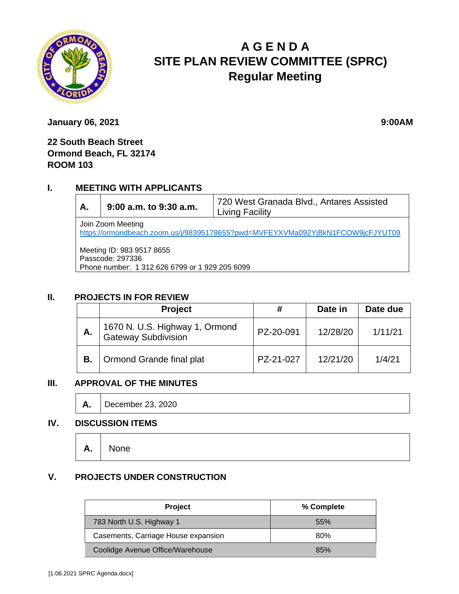

# **A G E N D A SITE PLAN REVIEW COMMITTEE (SPRC) Regular Meeting**

**January 06, 2021 9:00AM** 

### **22 South Beach Street Ormond Beach, FL 32174 ROOM 103**

#### **I. MEETING WITH APPLICANTS**

**A. 9:00 a.m. to 9:30 a.m.** 720 West Granada Blvd., Antares Assisted Living Facility Join Zoom Meeting <https://ormondbeach.zoom.us/j/98395178655?pwd=MVFEYXVMa092YjBkN1FCOW9jcFJYUT09> Meeting ID: 983 9517 8655 Passcode: 297336

Phone number: 1 312 626 6799 or 1 929 205 6099

#### **II. PROJECTS IN FOR REVIEW**

|    | <b>Project</b>                                     | #         | Date in  | Date due |
|----|----------------------------------------------------|-----------|----------|----------|
| А. | 1670 N. U.S. Highway 1, Ormond Gateway Subdivision | PZ-20-091 | 12/28/20 | 1/11/21  |
| В. | Ormond Grande final plat                           | PZ-21-027 | 12/21/20 | 1/4/21   |

#### **III. APPROVAL OF THE MINUTES**

**A.** December 23, 2020

#### **IV. DISCUSSION ITEMS**

## **A.** None

### **V. PROJECTS UNDER CONSTRUCTION**

| <b>Project</b>                      | % Complete |
|-------------------------------------|------------|
| 783 North U.S. Highway 1            | 55%        |
| Casements, Carriage House expansion | 80%        |
| Coolidge Avenue Office/Warehouse    | 85%        |